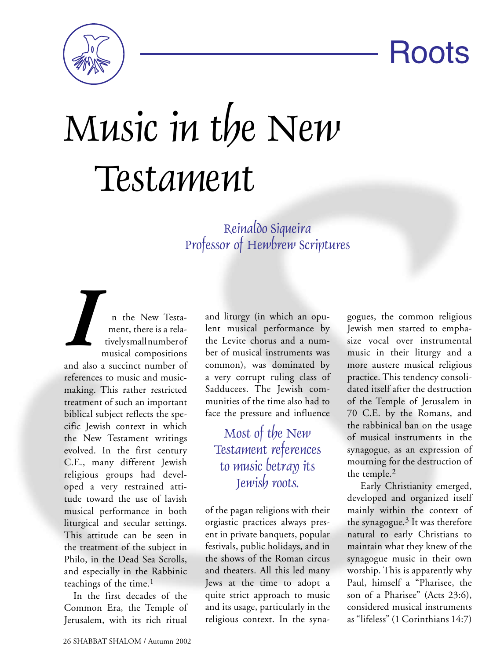Roots



## Music in the New Testament

## Reinaldo Siqueira Professor of Hewbrew Scriptures

**I** n the New Testa-<br>ment, there is a rela-<br>tivelysmall number of<br>musical compositions ment, there is a relatively small number of musical compositions and also a succinct number of references to music and musicmaking. This rather restricted treatment of such an important biblical subject reflects the specific Jewish context in which the New Testament writings evolved. In the first century C.E., many different Jewish religious groups had developed a very restrained attitude toward the use of lavish musical performance in both liturgical and secular settings. This attitude can be seen in the treatment of the subject in Philo, in the Dead Sea Scrolls, and especially in the Rabbinic teachings of the time.<sup>1</sup>

In the first decades of the Common Era, the Temple of Jerusalem, with its rich ritual

and liturgy (in which an opulent musical performance by the Levite chorus and a number of musical instruments was common), was dominated by a very corrupt ruling class of Sadducees. The Jewish communities of the time also had to face the pressure and influence

Most of the New Testament references to music betray its Jewish roots.

of the pagan religions with their orgiastic practices always present in private banquets, popular festivals, public holidays, and in the shows of the Roman circus and theaters. All this led many Jews at the time to adopt a quite strict approach to music and its usage, particularly in the religious context. In the syna-

gogues, the common religious Jewish men started to emphasize vocal over instrumental music in their liturgy and a more austere musical religious practice. This tendency consolidated itself after the destruction of the Temple of Jerusalem in 70 C.E. by the Romans, and the rabbinical ban on the usage of musical instruments in the synagogue, as an expression of mourning for the destruction of the temple.2

 Early Christianity emerged, developed and organized itself mainly within the context of the synagogue. $3$  It was therefore natural to early Christians to maintain what they knew of the synagogue music in their own worship. This is apparently why Paul, himself a "Pharisee, the son of a Pharisee" (Acts 23:6), considered musical instruments as "lifeless" (1 Corinthians 14:7)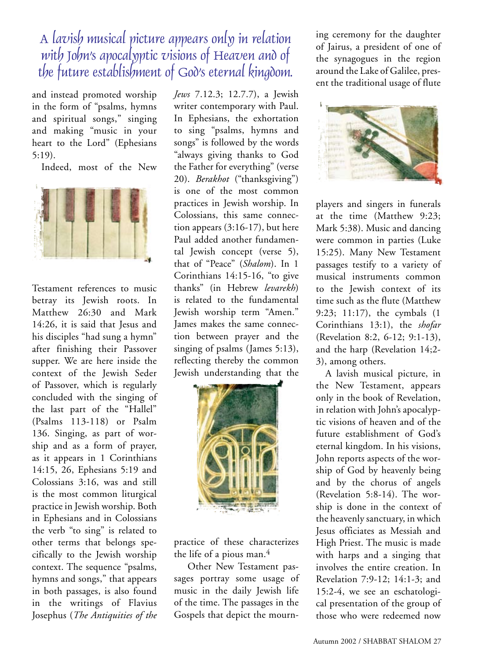A lavish musical picture appears only in relation with John's apocal sptic visions of Heaven and of the future establishment of God's eternal kingdom.

and instead promoted worship in the form of "psalms, hymns and spiritual songs," singing and making "music in your heart to the Lord" (Ephesians 5:19).

Indeed, most of the New



Testament references to music betray its Jewish roots. In Matthew 26:30 and Mark 14:26, it is said that Jesus and his disciples "had sung a hymn" after finishing their Passover supper. We are here inside the context of the Jewish Seder of Passover, which is regularly concluded with the singing of the last part of the "Hallel" (Psalms 113-118) or Psalm 136. Singing, as part of worship and as a form of prayer, as it appears in 1 Corinthians 14:15, 26, Ephesians 5:19 and Colossians 3:16, was and still is the most common liturgical practice in Jewish worship. Both in Ephesians and in Colossians the verb "to sing" is related to other terms that belongs specifically to the Jewish worship context. The sequence "psalms, hymns and songs," that appears in both passages, is also found in the writings of Flavius Josephus (*The Antiquities of the*  *Jews* 7.12.3; 12.7.7), a Jewish writer contemporary with Paul. In Ephesians, the exhortation to sing "psalms, hymns and songs" is followed by the words "always giving thanks to God the Father for everything" (verse 20). *Berakhot* ("thanksgiving") is one of the most common practices in Jewish worship. In Colossians, this same connection appears (3:16-17), but here Paul added another fundamental Jewish concept (verse 5), that of "Peace" (*Shalom*). In 1 Corinthians 14:15-16, "to give thanks" (in Hebrew *levarekh*) is related to the fundamental Jewish worship term "Amen." James makes the same connection between prayer and the singing of psalms (James 5:13), reflecting thereby the common Jewish understanding that the



practice of these characterizes the life of a pious man.4

 Other New Testament passages portray some usage of music in the daily Jewish life of the time. The passages in the Gospels that depict the mourning ceremony for the daughter of Jairus, a president of one of the synagogues in the region around the Lake of Galilee, present the traditional usage of flute



players and singers in funerals at the time (Matthew 9:23; Mark 5:38). Music and dancing were common in parties (Luke 15:25). Many New Testament passages testify to a variety of musical instruments common to the Jewish context of its time such as the flute (Matthew 9:23; 11:17), the cymbals (1 Corinthians 13:1), the *shofar* (Revelation 8:2, 6-12; 9:1-13), and the harp (Revelation 14;2- 3), among others.

A lavish musical picture, in the New Testament, appears only in the book of Revelation, in relation with John's apocalyptic visions of heaven and of the future establishment of God's eternal kingdom. In his visions, John reports aspects of the worship of God by heavenly being and by the chorus of angels (Revelation 5:8-14). The worship is done in the context of the heavenly sanctuary, in which Jesus officiates as Messiah and High Priest. The music is made with harps and a singing that involves the entire creation. In Revelation 7:9-12; 14:1-3; and 15:2-4, we see an eschatological presentation of the group of those who were redeemed now